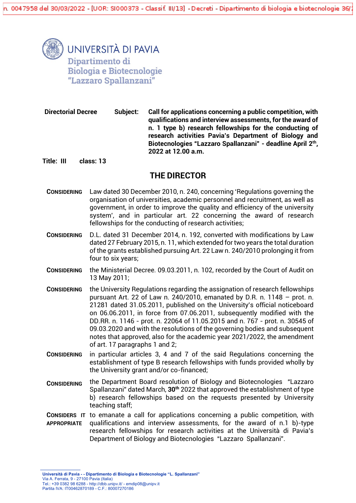

**UNIVERSITÀ DI PAVIA** Dipartimento di **Biologia e Biotecnologie** "Lazzaro Spallanzani"

**Directorial Decree Subject: Call for applications concerning a public competition, with qualifications and interview assessments, for the award of n. 1 type b) research fellowships for the conducting of research activities Pavia's Department of Biology and Biotecnologies "Lazzaro Spallanzani" - deadline April 2th , 2022 at 12.00 a.m.**

**Title: III class: 13**

# **THE DIRECTOR**

- **CONSIDERING** Law dated 30 December 2010, n. 240, concerning 'Regulations governing the organisation of universities, academic personnel and recruitment, as well as government, in order to improve the quality and efficiency of the university system', and in particular art. 22 concerning the award of research fellowships for the conducting of research activities;
- **CONSIDERING** D.L. dated 31 December 2014, n. 192, converted with modifications by Law dated 27 February 2015, n. 11, which extended for two years the total duration of the grants established pursuing Art. 22 Law n. 240/2010 prolonging it from four to six years;
- **CONSIDERING** the Ministerial Decree. 09.03.2011, n. 102, recorded by the Court of Audit on 13 May 2011;
- **CONSIDERING** the University Regulations regarding the assignation of research fellowships pursuant Art. 22 of Law n. 240/2010, emanated by D.R. n. 1148 – prot. n. 21281 dated 31.05.2011, published on the University's official noticeboard on 06.06.2011, in force from 07.06.2011, subsequently modified with the DD.RR. n. 1146 - prot. n. 22064 of 11.05.2015 and n. 767 - prot. n. 30545 of 09.03.2020 and with the resolutions of the governing bodies and subsequent notes that approved, also for the academic year 2021/2022, the amendment of art. 17 paragraphs 1 and 2;
- **CONSIDERING** in particular articles 3, 4 and 7 of the said Regulations concerning the establishment of type B research fellowships with funds provided wholly by the University grant and/or co-financed;
- **CONSIDERING** the Department Board resolution of Biology and Biotecnologies "Lazzaro Spallanzani" dated March, **30th** 2022 that approved the establishment of type b) research fellowships based on the requests presented by University teaching staff;
- **CONSIDERS IT**  to emanate a call for applications concerning a public competition, with **APPROPRIATE**  qualifications and interview assessments, for the award of n.1 b)-type research fellowships for research activities at the Università di Pavia's Department of Biology and Biotecnologies "Lazzaro Spallanzani".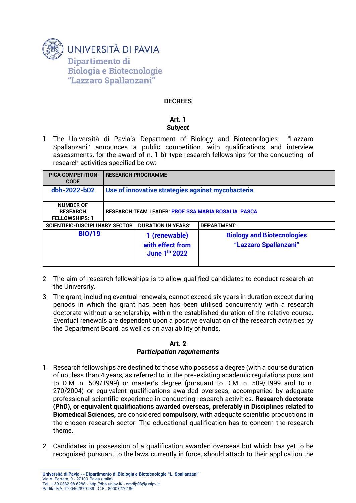

### **DECREES**

#### **Art. 1** *Subject*

1. The Università di Pavia's Department of Biology and Biotecnologies "Lazzaro Spallanzani" announces a public competition, with qualifications and interview assessments, for the award of n. 1 b)-type research fellowships for the conducting of research activities specified below:

| <b>PICA COMPETITION</b><br><b>CODE</b>                       | <b>RESEARCH PROGRAMME</b>                                 |                                                                |                                                            |
|--------------------------------------------------------------|-----------------------------------------------------------|----------------------------------------------------------------|------------------------------------------------------------|
| dbb-2022-b02                                                 | Use of innovative strategies against mycobacteria         |                                                                |                                                            |
| <b>NUMBER OF</b><br><b>RESEARCH</b><br><b>FELLOWSHIPS: 1</b> | <b>RESEARCH TEAM LEADER: PROF.SSA MARIA ROSALIA PASCA</b> |                                                                |                                                            |
| <b>SCIENTIFIC-DISCIPLINARY SECTOR</b>                        |                                                           | <b>DURATION IN YEARS:</b>                                      | <b>DEPARTMENT:</b>                                         |
| <b>BIO/19</b>                                                |                                                           | 1 (renewable)<br>with effect from<br>June 1 <sup>th</sup> 2022 | <b>Biology and Biotecnologies</b><br>"Lazzaro Spallanzani" |

- 2. The aim of research fellowships is to allow qualified candidates to conduct research at the University.
- 3. The grant, including eventual renewals, cannot exceed six years in duration except during periods in which the grant has been has been utilised concurrently with a research doctorate without a scholarship, within the established duration of the relative course. Eventual renewals are dependent upon a positive evaluation of the research activities by the Department Board, as well as an availability of funds.

# **Art. 2**

# *Participation requirements*

- 1. Research fellowships are destined to those who possess a degree (with a course duration of not less than 4 years, as referred to in the pre-existing academic regulations pursuant to D.M. n. 509/1999) or master's degree (pursuant to D.M. n. 509/1999 and to n. 270/2004) or equivalent qualifications awarded overseas, accompanied by adequate professional scientific experience in conducting research activities. **Research doctorate (PhD), or equivalent qualifications awarded overseas, preferably in Disciplines related to Biomedical Sciences,** are considered **compulsory**, with adequate scientific productions in the chosen research sector. The educational qualification has to concern the research theme.
- 2. Candidates in possession of a qualification awarded overseas but which has yet to be recognised pursuant to the laws currently in force, should attach to their application the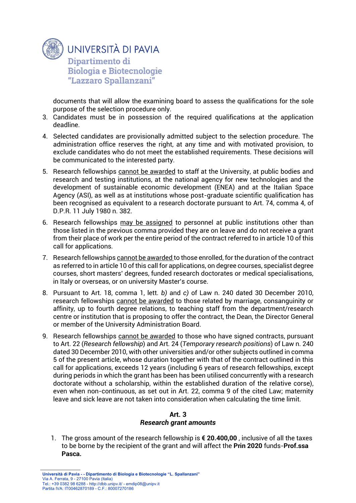

documents that will allow the examining board to assess the qualifications for the sole purpose of the selection procedure only.

- 3. Candidates must be in possession of the required qualifications at the application deadline.
- 4. Selected candidates are provisionally admitted subject to the selection procedure. The administration office reserves the right, at any time and with motivated provision, to exclude candidates who do not meet the established requirements. These decisions will be communicated to the interested party.
- 5. Research fellowships cannot be awarded to staff at the University, at public bodies and research and testing institutions, at the national agency for new technologies and the development of sustainable economic development (ENEA) and at the Italian Space Agency (ASI), as well as at institutions whose post-graduate scientific qualification has been recognised as equivalent to a research doctorate pursuant to Art. 74, comma 4, of D.P.R. 11 July 1980 n. 382.
- 6. Research fellowships may be assigned to personnel at public institutions other than those listed in the previous comma provided they are on leave and do not receive a grant from their place of work per the entire period of the contract referred to in article 10 of this call for applications.
- 7. Research fellowships cannot be awarded to those enrolled, for the duration of the contract as referred to in article 10 of this call for applications, on degree courses, specialist degree courses, short masters' degrees, funded research doctorates or medical specialisations, in Italy or overseas, or on university Master's course.
- 8. Pursuant to Art. 18, comma 1, lett. *b)* and *c)* of Law n. 240 dated 30 December 2010, research fellowships cannot be awarded to those related by marriage, consanguinity or affinity, up to fourth degree relations, to teaching staff from the department/research centre or institution that is proposing to offer the contract, the Dean, the Director General or member of the University Administration Board.
- 9. Research fellowships cannot be awarded to those who have signed contracts, pursuant to Art. 22 (*Research fellowship*) and Art. 24 (*Temporary research positions*) of Law n. 240 dated 30 December 2010, with other universities and/or other subjects outlined in comma 5 of the present article, whose duration together with that of the contract outlined in this call for applications, exceeds 12 years (including 6 years of research fellowships, except during periods in which the grant has been has been utilised concurrently with a research doctorate without a scholarship, within the established duration of the relative corse), even when non-continuous, as set out in Art. 22, comma 9 of the cited Law; maternity leave and sick leave are not taken into consideration when calculating the time limit.

# **Art. 3**

# *Research grant amounts*

1. The gross amount of the research fellowship is **€ 20.400,00** , inclusive of all the taxes to be borne by the recipient of the grant and will affect the **Prin 2020** funds-**Prof.ssa Pasca.**

**Università di Pavia - - Dipartimento di Biologia e Biotecnologie "L. Spallanzani"** Via A. Ferrata, 9 - 27100 Pavia (Italia) Tel.: +39 0382 98 6288 - http://dbb.unipv.it/ - emdip08@unipv.it Partita IVA: IT00462870189 - C.F.: 80007270186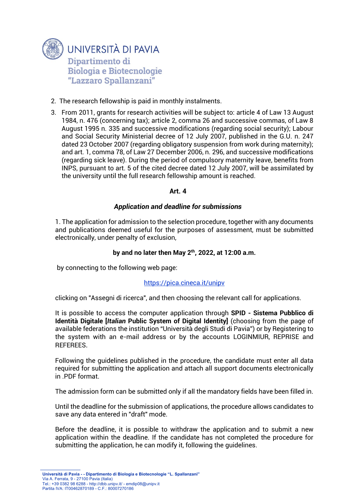

- 2. The research fellowship is paid in monthly instalments.
- 3. From 2011, grants for research activities will be subject to: article 4 of Law 13 August 1984, n. 476 (concerning tax); article 2, comma 26 and successive commas, of Law 8 August 1995 n. 335 and successive modifications (regarding social security); Labour and Social Security Ministerial decree of 12 July 2007, published in the G.U. n. 247 dated 23 October 2007 (regarding obligatory suspension from work during maternity); and art. 1, comma 78, of Law 27 December 2006, n. 296, and successive modifications (regarding sick leave). During the period of compulsory maternity leave, benefits from INPS, pursuant to art. 5 of the cited decree dated 12 July 2007, will be assimilated by the university until the full research fellowship amount is reached.

# **Art. 4**

### *Application and deadline for submissions*

1. The application for admission to the selection procedure, together with any documents and publications deemed useful for the purposes of assessment, must be submitted electronically, under penalty of exclusion,

### **by and no later then May 2 th, 2022, at 12:00 a.m.**

by connecting to the following web page:

#### <https://pica.cineca.it/unipv>

clicking on "Assegni di ricerca", and then choosing the relevant call for applications.

It is possible to access the computer application through **SPID - Sistema Pubblico di Identità Digitale [***Italian* **Public System of Digital Identity]** (choosing from the page of available federations the institution "Università degli Studi di Pavia") or by Registering to the system with an e-mail address or by the accounts LOGINMIUR, REPRISE and REFEREES.

Following the guidelines published in the procedure, the candidate must enter all data required for submitting the application and attach all support documents electronically in .PDF format.

The admission form can be submitted only if all the mandatory fields have been filled in.

Until the deadline for the submission of applications, the procedure allows candidates to save any data entered in "draft" mode.

Before the deadline, it is possible to withdraw the application and to submit a new application within the deadline. If the candidate has not completed the procedure for submitting the application, he can modify it, following the guidelines.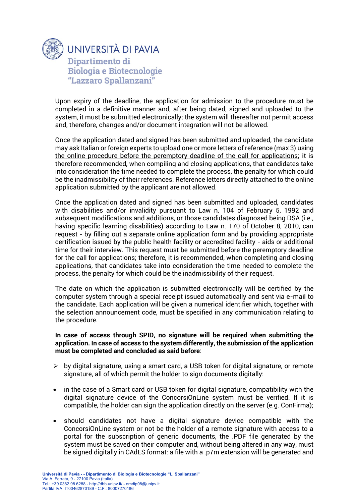

Upon expiry of the deadline, the application for admission to the procedure must be completed in a definitive manner and, after being dated, signed and uploaded to the system, it must be submitted electronically; the system will thereafter not permit access and, therefore, changes and/or document integration will not be allowed.

Once the application dated and signed has been submitted and uploaded, the candidate may ask Italian or foreign experts to upload one or more letters of reference (max 3) using the online procedure before the peremptory deadline of the call for applications; it is therefore recommended, when compiling and closing applications, that candidates take into consideration the time needed to complete the process, the penalty for which could be the inadmissibility of their references. Reference letters directly attached to the online application submitted by the applicant are not allowed.

Once the application dated and signed has been submitted and uploaded, candidates with disabilities and/or invalidity pursuant to Law n. 104 of February 5, 1992 and subsequent modifications and additions, or those candidates diagnosed being DSA (i.e., having specific learning disabilities) according to Law n. 170 of October 8, 2010, can request - by filling out a separate online application form and by providing appropriate certification issued by the public health facility or accredited facility - aids or additional time for their interview. This request must be submitted before the peremptory deadline for the call for applications; therefore, it is recommended, when completing and closing applications, that candidates take into consideration the time needed to complete the process, the penalty for which could be the inadmissibility of their request.

The date on which the application is submitted electronically will be certified by the computer system through a special receipt issued automatically and sent via e-mail to the candidate. Each application will be given a numerical identifier which, together with the selection announcement code, must be specified in any communication relating to the procedure.

#### **In case of access through SPID, no signature will be required when submitting the application. In case of access to the system differently, the submission of the application must be completed and concluded as said before**:

- $\triangleright$  by digital signature, using a smart card, a USB token for digital signature, or remote signature, all of which permit the holder to sign documents digitally:
- in the case of a Smart card or USB token for digital signature, compatibility with the digital signature device of the ConcorsiOnLine system must be verified. If it is compatible, the holder can sign the application directly on the server (e.g. ConFirma);
- should candidates not have a digital signature device compatible with the ConcorsiOnLine system or not be the holder of a remote signature with access to a portal for the subscription of generic documents, the .PDF file generated by the system must be saved on their computer and, without being altered in any way, must be signed digitally in CAdES format: a file with a .p7m extension will be generated and

**Università di Pavia - - Dipartimento di Biologia e Biotecnologie "L. Spallanzani"** Via A. Ferrata, 9 - 27100 Pavia (Italia) Tel.: +39 0382 98 6288 - http://dbb.unipv.it/ - emdip08@unipv.it Partita IVA: IT00462870189 - C.F.: 80007270186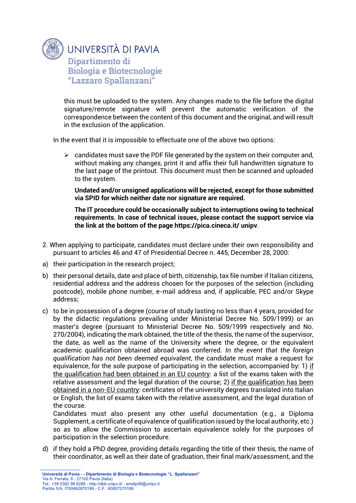

this must be uploaded to the system. Any changes made to the file before the digital signature/remote signature will prevent the automatic verification of the correspondence between the content of this document and the original, and will result in the exclusion of the application.

In the event that it is impossible to effectuate one of the above two options:

 $\triangleright$  candidates must save the PDF file generated by the system on their computer and, without making any changes, print it and affix their full handwritten signature to the last page of the printout. This document must then be scanned and uploaded to the system.

**Undated and/or unsigned applications will be rejected, except for those submitted via SPID for which neither date nor signature are required.**

**The IT procedure could be occasionally subject to interruptions owing to technical requirements. In case of technical issues, please contact the support service via the link at the bottom of the page https://pica.cineca.it/ unipv**.

- 2. When applying to participate, candidates must declare under their own responsibility and pursuant to articles 46 and 47 of Presidential Decree n. 445, December 28, 2000:
- a) their participation in the research project;
- b) their personal details, date and place of birth, citizenship, tax file number if Italian citizens, residential address and the address chosen for the purposes of the selection (including postcode), mobile phone number, e-mail address and, if applicable, PEC and/or Skype address;
- c) to be in possession of a degree (course of study lasting no less than 4 years, provided for by the didactic regulations prevailing under Ministerial Decree No. 509/1999) or an master's degree (pursuant to Ministerial Decree No. 509/1999 respectively and No. 270/2004), indicating the mark obtained, the title of the thesis, the name of the supervisor, the date, as well as the name of the University where the degree, or the equivalent academic qualification obtained abroad was conferred. *In the event that the foreign qualification has not been deemed equivalent*, the candidate must make a request for equivalence, for the sole purpose of participating in the selection, accompanied by: 1) if the qualification had been obtained in an EU country: a list of the exams taken with the relative assessment and the legal duration of the course; 2) if the qualification has been obtained in a non-EU country: certificates of the university degrees translated into Italian or English, the list of exams taken with the relative assessment, and the legal duration of the course.

Candidates must also present any other useful documentation (e.g., a Diploma Supplement, a certificate of equivalence of qualification issued by the local authority, etc.) so as to allow the Commission to ascertain equivalence solely for the purposes of participation in the selection procedure.

d) if they hold a PhD degree, providing details regarding the title of their thesis, the name of their coordinator, as well as their date of graduation, their final mark/assessment, and the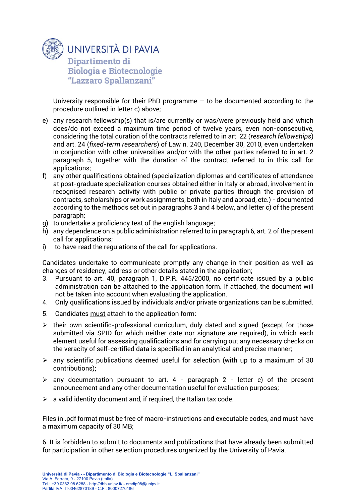

University responsible for their PhD programme  $-$  to be documented according to the procedure outlined in letter c) above;

- e) any research fellowship(s) that is/are currently or was/were previously held and which does/do not exceed a maximum time period of twelve years, even non-consecutive, considering the total duration of the contracts referred to in art. 22 (*research fellowships*) and art. 24 (*fixed-term researchers*) of Law n. 240, December 30, 2010, even undertaken in conjunction with other universities and/or with the other parties referred to in art. 2 paragraph 5, together with the duration of the contract referred to in this call for applications;
- f) any other qualifications obtained (specialization diplomas and certificates of attendance at post-graduate specialization courses obtained either in Italy or abroad, involvement in recognised research activity with public or private parties through the provision of contracts, scholarships or work assignments, both in Italy and abroad, etc.) - documented according to the methods set out in paragraphs 3 and 4 below, and letter c) of the present paragraph;
- g) to undertake a proficiency test of the english language;
- h) any dependence on a public administration referred to in paragraph 6, art. 2 of the present call for applications;
- i) to have read the regulations of the call for applications.

Candidates undertake to communicate promptly any change in their position as well as changes of residency, address or other details stated in the application;

- 3. Pursuant to art. 40, paragraph 1, D.P.R. 445/2000, no certificate issued by a public administration can be attached to the application form. If attached, the document will not be taken into account when evaluating the application.
- 4. Only qualifications issued by individuals and/or private organizations can be submitted.
- 5. Candidates must attach to the application form:
- $\triangleright$  their own scientific-professional curriculum, duly dated and signed (except for those submitted via SPID for which neither date nor signature are required), in which each element useful for assessing qualifications and for carrying out any necessary checks on the veracity of self-certified data is specified in an analytical and precise manner;
- $\triangleright$  any scientific publications deemed useful for selection (with up to a maximum of 30 contributions);
- $\triangleright$  any documentation pursuant to art. 4 paragraph 2 letter c) of the present announcement and any other documentation useful for evaluation purposes;
- $\triangleright$  a valid identity document and, if required, the Italian tax code.

Files in .pdf format must be free of macro-instructions and executable codes, and must have a maximum capacity of 30 MB;

6. It is forbidden to submit to documents and publications that have already been submitted for participation in other selection procedures organized by the University of Pavia.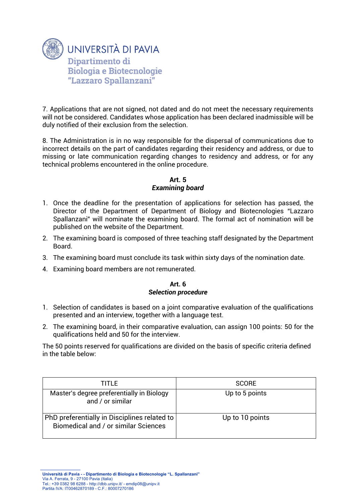

7. Applications that are not signed, not dated and do not meet the necessary requirements will not be considered. Candidates whose application has been declared inadmissible will be duly notified of their exclusion from the selection.

8. The Administration is in no way responsible for the dispersal of communications due to incorrect details on the part of candidates regarding their residency and address, or due to missing or late communication regarding changes to residency and address, or for any technical problems encountered in the online procedure.

# **Art. 5**  *Examining board*

- 1. Once the deadline for the presentation of applications for selection has passed, the Director of the Department of Department of Biology and Biotecnologies "Lazzaro Spallanzani" will nominate the examining board. The formal act of nomination will be published on the website of the Department.
- 2. The examining board is composed of three teaching staff designated by the Department Board.
- 3. The examining board must conclude its task within sixty days of the nomination date.
- 4. Examining board members are not remunerated.

### **Art. 6** *Selection procedure*

- 1. Selection of candidates is based on a joint comparative evaluation of the qualifications presented and an interview, together with a language test.
- 2. The examining board, in their comparative evaluation, can assign 100 points: 50 for the qualifications held and 50 for the interview.

The 50 points reserved for qualifications are divided on the basis of specific criteria defined in the table below:

| TITI F.                                                                              | <b>SCORE</b>    |
|--------------------------------------------------------------------------------------|-----------------|
| Master's degree preferentially in Biology<br>and / or similar                        | Up to 5 points  |
| PhD preferentially in Disciplines related to<br>Biomedical and / or similar Sciences | Up to 10 points |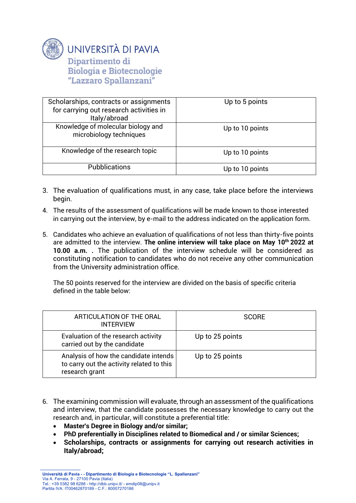

UNIVERSITÀ DI PAVIA Dipartimento di **Biologia e Biotecnologie** 

"Lazzaro Spallanzani"

| Scholarships, contracts or assignments<br>for carrying out research activities in<br>Italy/abroad | Up to 5 points  |
|---------------------------------------------------------------------------------------------------|-----------------|
| Knowledge of molecular biology and<br>microbiology techniques                                     | Up to 10 points |
| Knowledge of the research topic                                                                   | Up to 10 points |
| <b>Pubblications</b>                                                                              | Up to 10 points |

- 3. The evaluation of qualifications must, in any case, take place before the interviews begin.
- 4. The results of the assessment of qualifications will be made known to those interested in carrying out the interview, by e-mail to the address indicated on the application form.
- 5. Candidates who achieve an evaluation of qualifications of not less than thirty-five points are admitted to the interview. **The online interview will take place on May 10th 2022 at 10.00 a.m. .** The publication of the interview schedule will be considered as constituting notification to candidates who do not receive any other communication from the University administration office.

The 50 points reserved for the interview are divided on the basis of specific criteria defined in the table below:

| ARTICULATION OF THE ORAL<br><b>INTERVIEW</b>                                                         | <b>SCORE</b>    |
|------------------------------------------------------------------------------------------------------|-----------------|
| Evaluation of the research activity<br>carried out by the candidate                                  | Up to 25 points |
| Analysis of how the candidate intends<br>to carry out the activity related to this<br>research grant | Up to 25 points |

- 6. The examining commission will evaluate, through an assessment of the qualifications and interview, that the candidate possesses the necessary knowledge to carry out the research and, in particular, will constitute a preferential title:
	- **Master's Degree in Biology and/or similar;**
	- **PhD preferentially in Disciplines related to Biomedical and / or similar Sciences;**
	- **Scholarships, contracts or assignments for carrying out research activities in Italy/abroad;**

**Università di Pavia - - Dipartimento di Biologia e Biotecnologie "L. Spallanzani"** Via A. Ferrata, 9 - 27100 Pavia (Italia) Tel.: +39 0382 98 6288 - http://dbb.unipv.it/ - emdip08@unipv.it Partita IVA: IT00462870189 - C.F.: 80007270186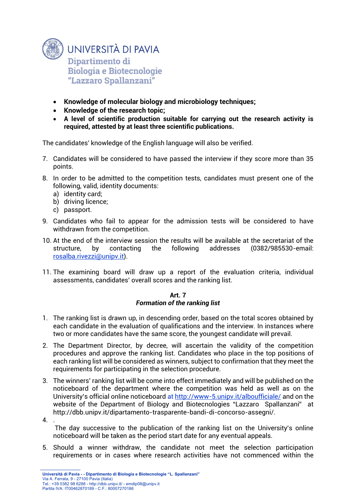

- **Knowledge of molecular biology and microbiology techniques;**
- **Knowledge of the research topic;**
- **A level of scientific production suitable for carrying out the research activity is required, attested by at least three scientific publications.**

The candidates' knowledge of the English language will also be verified.

- 7. Candidates will be considered to have passed the interview if they score more than 35 points.
- 8. In order to be admitted to the competition tests, candidates must present one of the following, valid, identity documents:
	- a) identity card;
	- b) driving licence;
	- c) passport.
- 9. Candidates who fail to appear for the admission tests will be considered to have withdrawn from the competition.
- 10. At the end of the interview session the results will be available at the secretariat of the structure, by contacting the following addresses (0382/985530-email: [rosalba.rivezzi@unipv.it\)](mailto:rosalba.rivezzi@unipv.it).
- 11. The examining board will draw up a report of the evaluation criteria, individual assessments, candidates' overall scores and the ranking list.

#### **Art. 7** *Formation of the ranking list*

- 1. The ranking list is drawn up, in descending order, based on the total scores obtained by each candidate in the evaluation of qualifications and the interview. In instances where two or more candidates have the same score, the youngest candidate will prevail.
- 2. The Department Director, by decree, will ascertain the validity of the competition procedures and approve the ranking list. Candidates who place in the top positions of each ranking list will be considered as winners, subject to confirmation that they meet the requirements for participating in the selection procedure.
- 3. The winners' ranking list will be come into effect immediately and will be published on the noticeboard of the department where the competition was held as well as on the University's official online noticeboard at<http://www-5.unipv.it/alboufficiale/> and on the website of the Department of Biology and Biotecnologies "Lazzaro Spallanzani" at http://dbb.unipv.it/dipartamento-trasparente-bandi-di-concorso-assegni/.
- 4. .

The day successive to the publication of the ranking list on the University's online noticeboard will be taken as the period start date for any eventual appeals.

5. Should a winner withdraw, the candidate not meet the selection participation requirements or in cases where research activities have not commenced within the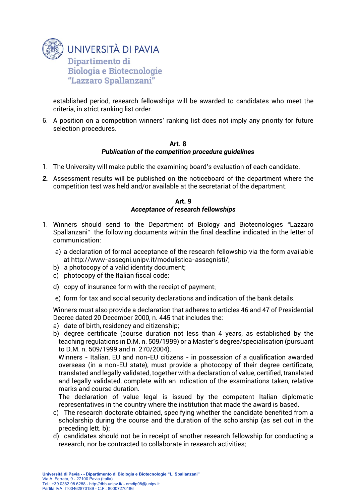

established period, research fellowships will be awarded to candidates who meet the criteria, in strict ranking list order.

6. A position on a competition winners' ranking list does not imply any priority for future selection procedures.

#### **Art. 8**

### *Publication of the competition procedure guidelines*

- 1. The University will make public the examining board's evaluation of each candidate.
- *2.* Assessment results will be published on the noticeboard of the department where the competition test was held and/or available at the secretariat of the department.

### **Art. 9** *Acceptance of research fellowships*

- 1. Winners should send to the Department of Biology and Biotecnologies "Lazzaro Spallanzani" the following documents within the final deadline indicated in the letter of communication:
	- a) a declaration of formal acceptance of the research fellowship via the form available at http://www-assegni.unipv.it/modulistica-assegnisti/;
	- b) a photocopy of a valid identity document;
	- c) photocopy of the Italian fiscal code;
	- d) copy of insurance form with the receipt of payment;
	- e) form for tax and social security declarations and indication of the bank details.

Winners must also provide a declaration that adheres to articles 46 and 47 of Presidential Decree dated 20 December 2000, n. 445 that includes the:

- a) date of birth, residency and citizenship;
- b) degree certificate (course duration not less than 4 years, as established by the teaching regulations in D.M. n. 509/1999) or a Master's degree/specialisation (pursuant to D.M. n. 509/1999 and n. 270/2004).

Winners - Italian, EU and non-EU citizens - in possession of a qualification awarded overseas (in a non-EU state), must provide a photocopy of their degree certificate, translated and legally validated, together with a declaration of value, certified, translated and legally validated, complete with an indication of the examinations taken, relative marks and course duration.

The declaration of value legal is issued by the competent Italian diplomatic representatives in the country where the institution that made the award is based.

- c) The research doctorate obtained, specifying whether the candidate benefited from a scholarship during the course and the duration of the scholarship (as set out in the preceding lett. b);
- d) candidates should not be in receipt of another research fellowship for conducting a research, nor be contracted to collaborate in research activities;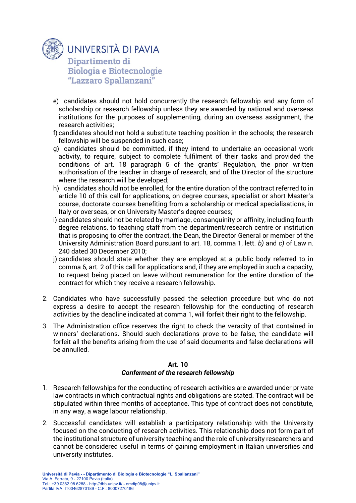

- e) candidates should not hold concurrently the research fellowship and any form of scholarship or research fellowship unless they are awarded by national and overseas institutions for the purposes of supplementing, during an overseas assignment, the research activities;
- f) candidates should not hold a substitute teaching position in the schools; the research fellowship will be suspended in such case;
- g) candidates should be committed, if they intend to undertake an occasional work activity, to require, subject to complete fulfilment of their tasks and provided the conditions of art. 18 paragraph 5 of the grants' Regulation, the prior written authorisation of the teacher in charge of research, and of the Director of the structure where the research will be developed;
- h) candidates should not be enrolled, for the entire duration of the contract referred to in article 10 of this call for applications, on degree courses, specialist or short Master's course, doctorate courses benefiting from a scholarship or medical specialisations, in Italy or overseas, or on University Master's degree courses;
- i) candidates should not be related by marriage, consanguinity or affinity, including fourth degree relations, to teaching staff from the department/research centre or institution that is proposing to offer the contract, the Dean, the Director General or member of the University Administration Board pursuant to art. 18, comma 1, lett. *b)* and *c)* of Law n. 240 dated 30 December 2010;
- j) candidates should state whether they are employed at a public body referred to in comma 6, art. 2 of this call for applications and, if they are employed in such a capacity, to request being placed on leave without remuneration for the entire duration of the contract for which they receive a research fellowship.
- 2. Candidates who have successfully passed the selection procedure but who do not express a desire to accept the research fellowship for the conducting of research activities by the deadline indicated at comma 1, will forfeit their right to the fellowship.
- 3. The Administration office reserves the right to check the veracity of that contained in winners' declarations. Should such declarations prove to be false, the candidate will forfeit all the benefits arising from the use of said documents and false declarations will be annulled.

### **Art. 10** *Conferment of the research fellowship*

- 1. Research fellowships for the conducting of research activities are awarded under private law contracts in which contractual rights and obligations are stated. The contract will be stipulated within three months of acceptance. This type of contract does not constitute, in any way, a wage labour relationship.
- 2. Successful candidates will establish a participatory relationship with the University focused on the conducting of research activities. This relationship does not form part of the institutional structure of university teaching and the role of university researchers and cannot be considered useful in terms of gaining employment in Italian universities and university institutes.

**Università di Pavia - - Dipartimento di Biologia e Biotecnologie "L. Spallanzani"** Via A. Ferrata, 9 - 27100 Pavia (Italia) Tel.: +39 0382 98 6288 - http://dbb.unipv.it/ - emdip08@unipv.it Partita IVA: IT00462870189 - C.F.: 80007270186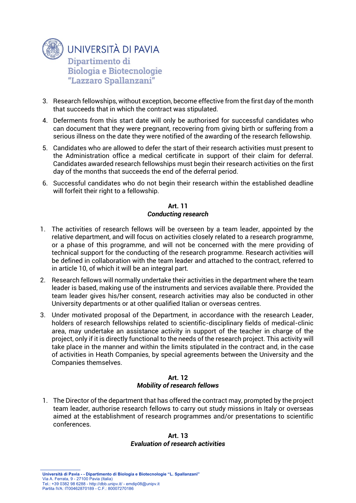

- 3. Research fellowships, without exception, become effective from the first day of the month that succeeds that in which the contract was stipulated.
- 4. Deferments from this start date will only be authorised for successful candidates who can document that they were pregnant, recovering from giving birth or suffering from a serious illness on the date they were notified of the awarding of the research fellowship.
- 5. Candidates who are allowed to defer the start of their research activities must present to the Administration office a medical certificate in support of their claim for deferral. Candidates awarded research fellowships must begin their research activities on the first day of the months that succeeds the end of the deferral period.
- 6. Successful candidates who do not begin their research within the established deadline will forfeit their right to a fellowship.

### **Art. 11** *Conducting research*

- 1. The activities of research fellows will be overseen by a team leader, appointed by the relative department, and will focus on activities closely related to a research programme, or a phase of this programme, and will not be concerned with the mere providing of technical support for the conducting of the research programme. Research activities will be defined in collaboration with the team leader and attached to the contract, referred to in article 10, of which it will be an integral part.
- 2. Research fellows will normally undertake their activities in the department where the team leader is based, making use of the instruments and services available there. Provided the team leader gives his/her consent, research activities may also be conducted in other University departments or at other qualified Italian or overseas centres.
- 3. Under motivated proposal of the Department, in accordance with the research Leader, holders of research fellowships related to scientific-disciplinary fields of medical-clinic area, may undertake an assistance activity in support of the teacher in charge of the project, only if it is directly functional to the needs of the research project. This activity will take place in the manner and within the limits stipulated in the contract and, in the case of activities in Heath Companies, by special agreements between the University and the Companies themselves.

### **Art. 12** *Mobility of research fellows*

1. The Director of the department that has offered the contract may, prompted by the project team leader, authorise research fellows to carry out study missions in Italy or overseas aimed at the establishment of research programmes and/or presentations to scientific conferences.

### **Art. 13** *Evaluation of research activities*

**Università di Pavia - - Dipartimento di Biologia e Biotecnologie "L. Spallanzani"** Via A. Ferrata, 9 - 27100 Pavia (Italia) Tel.: +39 0382 98 6288 - http://dbb.unipv.it/ - emdip08@unipv.it Partita IVA: IT00462870189 - C.F.: 80007270186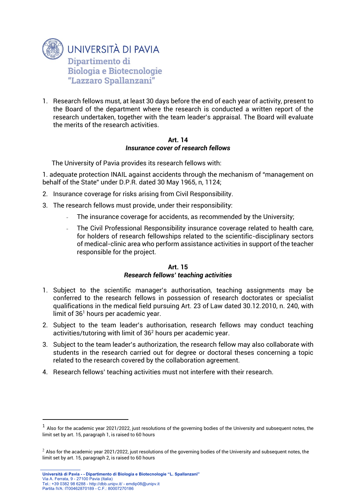

1. Research fellows must, at least 30 days before the end of each year of activity, present to the Board of the department where the research is conducted a written report of the research undertaken, together with the team leader's appraisal. The Board will evaluate the merits of the research activities.

#### **Art. 14** *Insurance cover of research fellows*

The University of Pavia provides its research fellows with:

1. adequate protection INAIL against accidents through the mechanism of "management on behalf of the State" under D.P.R. dated 30 May 1965, n, 1124;

- 2. Insurance coverage for risks arising from Civil Responsibility.
- 3. The research fellows must provide, under their responsibility:
	- The insurance coverage for accidents, as recommended by the University;
	- The Civil Professional Responsibility insurance coverage related to health care, for holders of research fellowships related to the scientific-disciplinary sectors of medical-clinic area who perform assistance activities in support of the teacher responsible for the project.

#### **Art. 15** *Research fellows' teaching activities*

- 1. Subject to the scientific manager's authorisation, teaching assignments may be conferred to the research fellows in possession of research doctorates or specialist qualifications in the medical field pursuing Art. 23 of Law dated 30.12.2010, n. 240, with limit of  $36<sup>1</sup>$  hours per academic year.
- 2. Subject to the team leader's authorisation, research fellows may conduct teaching activities/tutoring with limit of 36<sup>2</sup> hours per academic year.
- 3. Subject to the team leader's authorization, the research fellow may also collaborate with students in the research carried out for degree or doctoral theses concerning a topic related to the research covered by the collaboration agreement.
- 4. Research fellows' teaching activities must not interfere with their research.

-

 $^{\rm 1}$  Also for the academic year 2021/2022, just resolutions of the governing bodies of the University and subsequent notes, the limit set by art. 15, paragraph 1, is raised to 60 hours

 $<sup>2</sup>$  Also for the academic year 2021/2022, just resolutions of the governing bodies of the University and subsequent notes, the</sup> limit set by art. 15, paragraph 2, is raised to 60 hours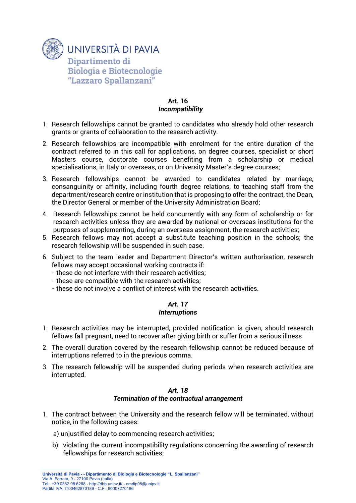

### **Art. 16** *Incompatibility*

- 1. Research fellowships cannot be granted to candidates who already hold other research grants or grants of collaboration to the research activity.
- 2. Research fellowships are incompatible with enrolment for the entire duration of the contract referred to in this call for applications, on degree courses, specialist or short Masters course, doctorate courses benefiting from a scholarship or medical specialisations, in Italy or overseas, or on University Master's degree courses;
- 3. Research fellowships cannot be awarded to candidates related by marriage, consanguinity or affinity, including fourth degree relations, to teaching staff from the department/research centre or institution that is proposing to offer the contract, the Dean, the Director General or member of the University Administration Board;
- 4. Research fellowships cannot be held concurrently with any form of scholarship or for research activities unless they are awarded by national or overseas institutions for the purposes of supplementing, during an overseas assignment, the research activities;
- 5. Research fellows may not accept a substitute teaching position in the schools; the research fellowship will be suspended in such case.
- 6. Subject to the team leader and Department Director's written authorisation, research fellows may accept occasional working contracts if:
	- these do not interfere with their research activities;
	- these are compatible with the research activities;
	- these do not involve a conflict of interest with the research activities.

# *Art. 17 Interruptions*

- 1. Research activities may be interrupted, provided notification is given, should research fellows fall pregnant, need to recover after giving birth or suffer from a serious illness
- 2. The overall duration covered by the research fellowship cannot be reduced because of interruptions referred to in the previous comma.
- 3. The research fellowship will be suspended during periods when research activities are interrupted.

#### *Art. 18 Termination of the contractual arrangement*

- 1. The contract between the University and the research fellow will be terminated, without notice, in the following cases:
	- a) unjustified delay to commencing research activities;
	- b) violating the current incompatibility regulations concerning the awarding of research fellowships for research activities;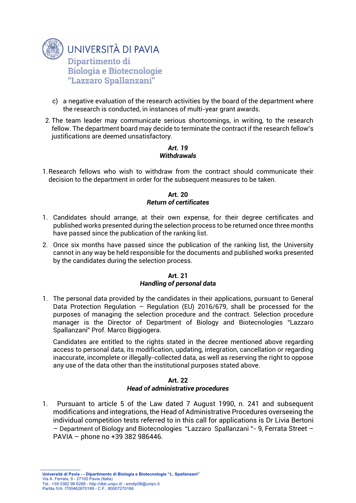

- c) a negative evaluation of the research activities by the board of the department where the research is conducted, in instances of multi-year grant awards.
- 2. The team leader may communicate serious shortcomings, in writing, to the research fellow. The department board may decide to terminate the contract if the research fellow's justifications are deemed unsatisfactory.

### *Art. 19 Withdrawals*

1.Research fellows who wish to withdraw from the contract should communicate their decision to the department in order for the subsequent measures to be taken.

### **Art. 20** *Return of certificates*

- 1. Candidates should arrange, at their own expense, for their degree certificates and published works presented during the selection process to be returned once three months have passed since the publication of the ranking list.
- 2. Once six months have passed since the publication of the ranking list, the University cannot in any way be held responsible for the documents and published works presented by the candidates during the selection process.

### **Art. 21** *Handling of personal data*

1. The personal data provided by the candidates in their applications, pursuant to General Data Protection Regulation – Regulation (EU) 2016/679, shall be processed for the purposes of managing the selection procedure and the contract. Selection procedure manager is the Director of Department of Biology and Biotecnologies "Lazzaro Spallanzani" Prof. Marco Biggiogera.

Candidates are entitled to the rights stated in the decree mentioned above regarding access to personal data, its modification, updating, integration, cancellation or regarding inaccurate, incomplete or illegally-collected data, as well as reserving the right to oppose any use of the data other than the institutional purposes stated above.

#### **Art. 22** *Head of administrative procedures*

1. Pursuant to article 5 of the Law dated 7 August 1990, n. 241 and subsequent modifications and integrations, the Head of Administrative Procedures overseeing the individual competition tests referred to in this call for applications is Dr Livia Bertoni – Department of Biology and Biotecnologies "Lazzaro Spallanzani "- 9, Ferrata Street – PAVIA – phone no +39 382 986446.